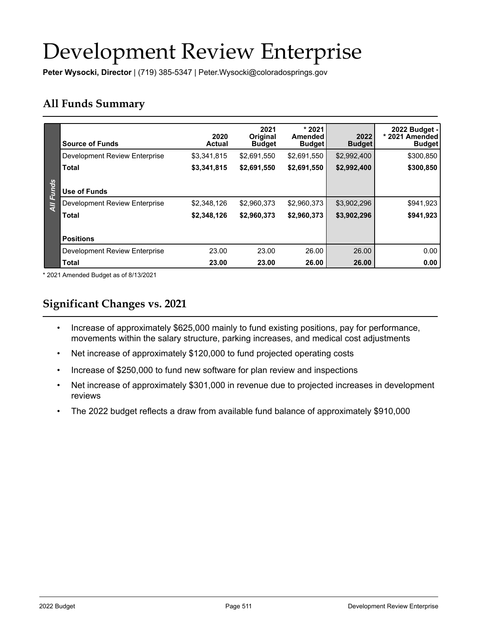# Development Review Enterprise

**Peter Wysocki, Director** | (719) 385-5347 | Peter.Wysocki@coloradosprings.gov

# **All Funds Summary**

|                | <b>Source of Funds</b>        | 2020<br>Actual | 2021<br><b>Original</b><br><b>Budget</b> | $*2021$<br><b>Amended</b><br><b>Budget</b> | 2022<br><b>Budget</b> | 2022 Budget -<br>* 2021 Amended<br><b>Budget</b> |
|----------------|-------------------------------|----------------|------------------------------------------|--------------------------------------------|-----------------------|--------------------------------------------------|
|                | Development Review Enterprise | \$3,341,815    | \$2.691.550                              | \$2,691,550                                | \$2,992,400           | \$300,850                                        |
|                | <b>Total</b>                  | \$3,341,815    | \$2,691,550                              | \$2,691,550                                | \$2,992,400           | \$300,850                                        |
|                |                               |                |                                          |                                            |                       |                                                  |
| <b>Funds</b>   | Use of Funds                  |                |                                          |                                            |                       |                                                  |
| $\overline{A}$ | Development Review Enterprise | \$2,348,126    | \$2,960,373                              | \$2,960,373                                | \$3,902,296           | \$941,923                                        |
|                | <b>Total</b>                  | \$2,348,126    | \$2,960,373                              | \$2,960,373                                | \$3,902,296           | \$941,923                                        |
|                |                               |                |                                          |                                            |                       |                                                  |
|                | <b>Positions</b>              |                |                                          |                                            |                       |                                                  |
|                | Development Review Enterprise | 23.00          | 23.00                                    | 26.00                                      | 26.00                 | 0.00                                             |
|                | <b>Total</b>                  | 23.00          | 23.00                                    | 26.00                                      | 26.00                 | 0.00                                             |

\* 2021 Amended Budget as of 8/13/2021

# **Significant Changes vs. 2021**

- Increase of approximately \$625,000 mainly to fund existing positions, pay for performance, movements within the salary structure, parking increases, and medical cost adjustments
- Net increase of approximately \$120,000 to fund projected operating costs
- Increase of \$250,000 to fund new software for plan review and inspections
- Net increase of approximately \$301,000 in revenue due to projected increases in development reviews
- The 2022 budget reflects a draw from available fund balance of approximately \$910,000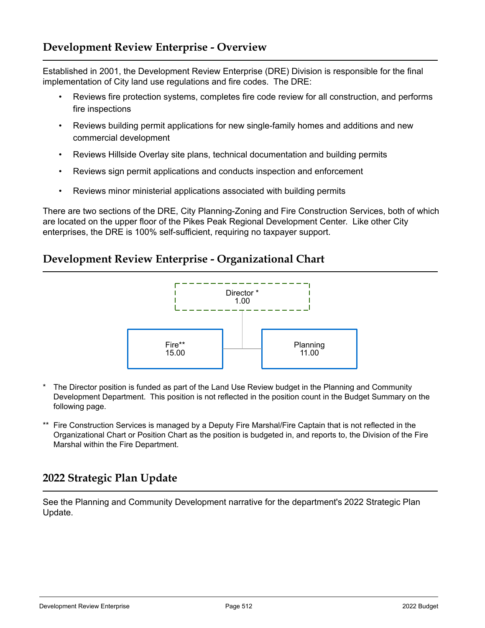## **Development Review Enterprise - Overview**

Established in 2001, the Development Review Enterprise (DRE) Division is responsible for the final implementation of City land use regulations and fire codes. The DRE:

- Reviews fire protection systems, completes fire code review for all construction, and performs fire inspections
- Reviews building permit applications for new single-family homes and additions and new commercial development
- Reviews Hillside Overlay site plans, technical documentation and building permits
- Reviews sign permit applications and conducts inspection and enforcement
- Reviews minor ministerial applications associated with building permits

There are two sections of the DRE, City Planning-Zoning and Fire Construction Services, both of which are located on the upper floor of the Pikes Peak Regional Development Center. Like other City enterprises, the DRE is 100% self-sufficient, requiring no taxpayer support.

#### **Development Review Enterprise - Organizational Chart**



- The Director position is funded as part of the Land Use Review budget in the Planning and Community Development Department. This position is not reflected in the position count in the Budget Summary on the following page.
- \*\* Fire Construction Services is managed by a Deputy Fire Marshal/Fire Captain that is not reflected in the Organizational Chart or Position Chart as the position is budgeted in, and reports to, the Division of the Fire Marshal within the Fire Department.

## **2022 Strategic Plan Update**

See the Planning and Community Development narrative for the department's 2022 Strategic Plan Update.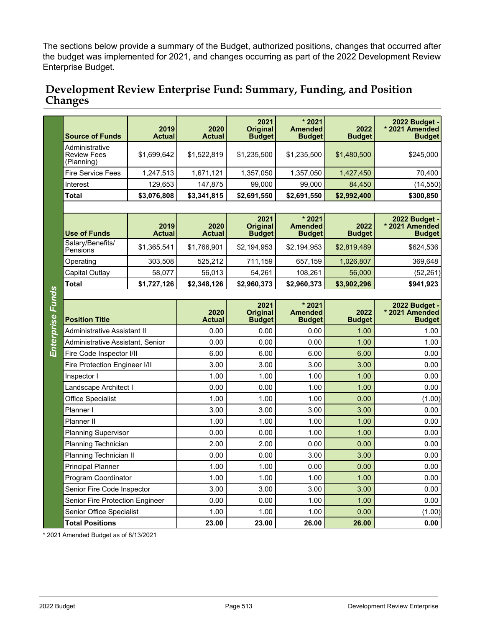The sections below provide a summary of the Budget, authorized positions, changes that occurred after the budget was implemented for 2021, and changes occurring as part of the 2022 Development Review Enterprise Budget.

#### **Development Review Enterprise Fund: Summary, Funding, and Position Changes**

|                         | <b>Source of Funds</b>                             | 2019<br><b>Actual</b> | 2020<br><b>Actual</b> | 2021<br><b>Original</b><br><b>Budget</b> | * 2021<br><b>Amended</b><br><b>Budget</b>  | 2022<br><b>Budget</b> | 2022 Budget -<br>* 2021 Amended<br><b>Budget</b>        |  |  |  |  |
|-------------------------|----------------------------------------------------|-----------------------|-----------------------|------------------------------------------|--------------------------------------------|-----------------------|---------------------------------------------------------|--|--|--|--|
|                         | Administrative<br><b>Review Fees</b><br>(Planning) | \$1.699.642           | \$1,522,819           | \$1,235,500                              | \$1,235,500                                | \$1,480,500           | \$245,000                                               |  |  |  |  |
|                         | <b>Fire Service Fees</b>                           | 1,247,513             | 1,671,121             | 1,357,050                                | 1,357,050                                  | 1,427,450             | 70,400                                                  |  |  |  |  |
|                         | Interest                                           | 129,653               | 147,875               | 99,000                                   | 99,000                                     | 84,450                | (14, 550)                                               |  |  |  |  |
|                         | <b>Total</b>                                       | \$3,076,808           | \$3,341,815           | \$2,691,550                              | \$2,691,550                                | \$2,992,400           | \$300,850                                               |  |  |  |  |
|                         |                                                    |                       |                       |                                          |                                            |                       |                                                         |  |  |  |  |
|                         | <b>Use of Funds</b>                                | 2019<br><b>Actual</b> | 2020<br><b>Actual</b> | 2021<br><b>Original</b><br><b>Budget</b> | $*2021$<br><b>Amended</b><br><b>Budget</b> | 2022<br><b>Budget</b> | <b>2022 Budget -</b><br>* 2021 Amended<br><b>Budget</b> |  |  |  |  |
|                         | Salary/Benefits/<br>Pensions                       | \$1,365,541           | \$1,766,901           | \$2,194,953                              | \$2,194,953                                | \$2,819,489           | \$624,536                                               |  |  |  |  |
|                         | Operating                                          | 303,508               | 525,212               | 711,159                                  | 657,159                                    | 1,026,807             | 369,648                                                 |  |  |  |  |
|                         | Capital Outlay                                     | 58,077                | 56.013                | 54,261                                   | 108.261                                    | 56,000                | (52, 261)                                               |  |  |  |  |
|                         | <b>Total</b>                                       | \$1,727,126           | \$2,348,126           | \$2,960,373                              | \$2,960,373                                | \$3,902,296           | \$941,923                                               |  |  |  |  |
|                         |                                                    |                       |                       |                                          |                                            |                       |                                                         |  |  |  |  |
|                         | <b>Position Title</b>                              |                       | 2020<br><b>Actual</b> | 2021<br><b>Original</b><br><b>Budget</b> | * 2021<br><b>Amended</b><br><b>Budget</b>  | 2022<br><b>Budget</b> | 2022 Budget -<br>* 2021 Amended<br><b>Budget</b>        |  |  |  |  |
| <b>Enterprise Funds</b> | <b>Administrative Assistant II</b>                 |                       | 0.00                  | 0.00                                     | 0.00                                       | 1.00                  | 1.00                                                    |  |  |  |  |
|                         | Administrative Assistant, Senior                   |                       | 0.00                  | 0.00                                     | 0.00                                       | 1.00                  | 1.00                                                    |  |  |  |  |
|                         | Fire Code Inspector I/II                           |                       | 6.00                  | 6.00                                     | 6.00                                       | 6.00                  | 0.00                                                    |  |  |  |  |
|                         | Fire Protection Engineer I/II                      |                       | 3.00                  | 3.00                                     | 3.00                                       | 3.00                  | 0.00                                                    |  |  |  |  |
|                         | Inspector I                                        |                       | 1.00                  | 1.00                                     | 1.00                                       | 1.00                  | 0.00                                                    |  |  |  |  |
|                         | Landscape Architect I                              |                       | 0.00                  | 0.00                                     | 1.00                                       | 1.00                  | 0.00                                                    |  |  |  |  |
|                         | <b>Office Specialist</b>                           |                       | 1.00                  | 1.00                                     | 1.00                                       | 0.00                  | (1.00)                                                  |  |  |  |  |
|                         | Planner I                                          |                       | 3.00                  | 3.00                                     | 3.00                                       | 3.00                  | 0.00                                                    |  |  |  |  |
|                         | Planner II                                         |                       | 1.00                  | 1.00                                     | 1.00                                       | 1.00                  | 0.00                                                    |  |  |  |  |
|                         | <b>Planning Supervisor</b>                         |                       | 0.00                  | 0.00                                     | 1.00                                       | 1.00                  | 0.00                                                    |  |  |  |  |
|                         | Planning Technician                                |                       | 2.00                  | 2.00                                     | 0.00                                       | 0.00                  | 0.00                                                    |  |  |  |  |
|                         | Planning Technician II                             |                       | 0.00                  | 0.00                                     | 3.00                                       | 3.00                  | 0.00                                                    |  |  |  |  |
|                         | <b>Principal Planner</b>                           |                       | 1.00                  | 1.00                                     | 0.00                                       | 0.00                  | 0.00                                                    |  |  |  |  |
|                         | Program Coordinator                                |                       | 1.00                  | 1.00                                     | 1.00                                       | 1.00                  | 0.00                                                    |  |  |  |  |
|                         | Senior Fire Code Inspector                         |                       | 3.00                  | 3.00                                     | 3.00                                       | 3.00                  | 0.00                                                    |  |  |  |  |
|                         | Senior Fire Protection Engineer                    |                       | 0.00                  | 0.00                                     | 1.00                                       | 1.00                  | 0.00                                                    |  |  |  |  |
|                         | Senior Office Specialist                           |                       | 1.00                  | 1.00                                     | 1.00                                       | 0.00                  | (1.00)                                                  |  |  |  |  |
|                         | <b>Total Positions</b>                             |                       | 23.00                 | 23.00                                    | 26.00                                      | 26.00                 | 0.00                                                    |  |  |  |  |

\* 2021 Amended Budget as of 8/13/2021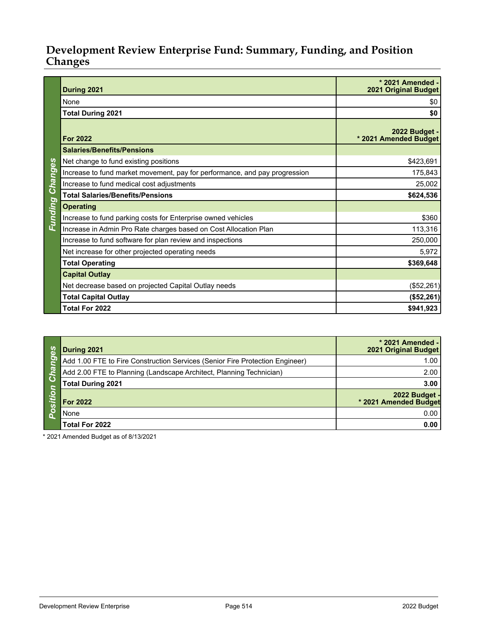# **Development Review Enterprise Fund: Summary, Funding, and Position Changes**

|                 | During 2021                                                                | * 2021 Amended -<br><b>2021 Original Budget</b> |  |  |
|-----------------|----------------------------------------------------------------------------|-------------------------------------------------|--|--|
|                 | None                                                                       | \$0                                             |  |  |
|                 | <b>Total During 2021</b>                                                   | \$0                                             |  |  |
|                 | <b>For 2022</b>                                                            | 2022 Budget -<br>* 2021 Amended Budget          |  |  |
|                 | <b>Salaries/Benefits/Pensions</b>                                          |                                                 |  |  |
|                 | Net change to fund existing positions                                      | \$423,691                                       |  |  |
| Funding Changes | Increase to fund market movement, pay for performance, and pay progression | 175,843                                         |  |  |
|                 | Increase to fund medical cost adjustments                                  | 25,002                                          |  |  |
|                 | <b>Total Salaries/Benefits/Pensions</b>                                    | \$624,536                                       |  |  |
|                 | <b>Operating</b>                                                           |                                                 |  |  |
|                 | Increase to fund parking costs for Enterprise owned vehicles               | \$360                                           |  |  |
|                 | Increase in Admin Pro Rate charges based on Cost Allocation Plan           | 113,316                                         |  |  |
|                 | Increase to fund software for plan review and inspections                  | 250,000                                         |  |  |
|                 | Net increase for other projected operating needs                           | 5,972                                           |  |  |
|                 | <b>Total Operating</b>                                                     | \$369,648                                       |  |  |
|                 | <b>Capital Outlay</b>                                                      |                                                 |  |  |
|                 | Net decrease based on projected Capital Outlay needs                       | (\$52,261)                                      |  |  |
|                 | <b>Total Capital Outlay</b>                                                | (\$52,261)                                      |  |  |
|                 | Total For 2022                                                             | \$941,923                                       |  |  |

| ပ္လိ                        | During 2021                                                                  | * 2021 Amended -<br>2021 Original Budget |
|-----------------------------|------------------------------------------------------------------------------|------------------------------------------|
| ග                           | Add 1.00 FTE to Fire Construction Services (Senior Fire Protection Engineer) | 1.00                                     |
| $\overline{\boldsymbol{a}}$ | Add 2.00 FTE to Planning (Landscape Architect, Planning Technician)          | 2.00                                     |
| <u>්ර</u>                   | <b>Total During 2021</b>                                                     | 3.00                                     |
|                             | <b>For 2022</b>                                                              | 2022 Budget -<br>* 2021 Amended Budget   |
|                             | None                                                                         | 0.00                                     |
|                             | Total For 2022                                                               | 0.00                                     |

\* 2021 Amended Budget as of 8/13/2021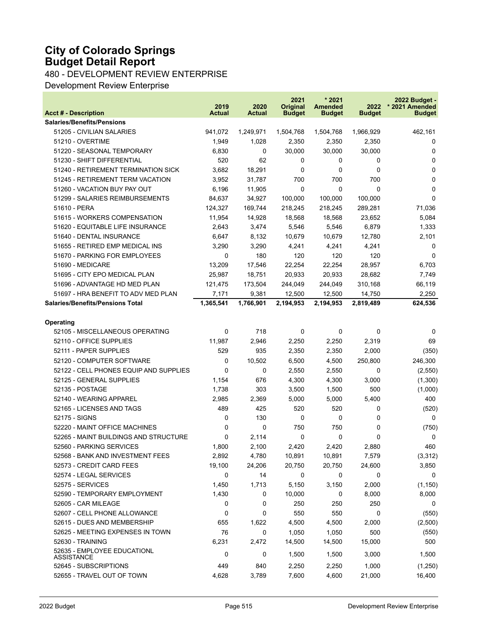## **City of Colorado Springs Budget Detail Report**

480 - DEVELOPMENT REVIEW ENTERPRISE

Development Review Enterprise

| <b>Acct # - Description</b>                                  | 2019<br><b>Actual</b> | 2020<br><b>Actual</b> | 2021<br>Original<br><b>Budget</b> | $*2021$<br><b>Amended</b><br><b>Budget</b> | 2022<br><b>Budget</b> | 2022 Budget -<br>* 2021 Amended<br><b>Budget</b> |
|--------------------------------------------------------------|-----------------------|-----------------------|-----------------------------------|--------------------------------------------|-----------------------|--------------------------------------------------|
| <b>Salaries/Benefits/Pensions</b>                            |                       |                       |                                   |                                            |                       |                                                  |
| 51205 - CIVILIAN SALARIES                                    | 941,072               | 1,249,971             | 1,504,768                         | 1,504,768                                  | 1,966,929             | 462,161                                          |
| 51210 - OVERTIME                                             | 1,949                 | 1,028                 | 2,350                             | 2,350                                      | 2,350                 | 0                                                |
| 51220 - SEASONAL TEMPORARY                                   | 6,830                 | $\Omega$              | 30,000                            | 30,000                                     | 30,000                | 0                                                |
| 51230 - SHIFT DIFFERENTIAL                                   | 520                   | 62                    | 0                                 | 0                                          | 0                     | 0                                                |
| 51240 - RETIREMENT TERMINATION SICK                          | 3,682                 | 18,291                | $\Omega$                          | 0                                          | $\Omega$              | 0                                                |
| 51245 - RETIREMENT TERM VACATION                             | 3,952                 | 31,787                | 700                               | 700                                        | 700                   | 0                                                |
| 51260 - VACATION BUY PAY OUT                                 | 6,196                 | 11,905                | $\Omega$                          | 0                                          | $\Omega$              | 0                                                |
| 51299 - SALARIES REIMBURSEMENTS                              | 84,637                | 34,927                | 100,000                           | 100.000                                    | 100,000               | $\Omega$                                         |
| 51610 - PERA                                                 | 124,327               | 169,744               | 218,245                           | 218,245                                    | 289,281               | 71,036                                           |
| 51615 - WORKERS COMPENSATION                                 | 11,954                | 14,928                | 18,568                            | 18,568                                     | 23,652                | 5,084                                            |
| 51620 - EQUITABLE LIFE INSURANCE                             | 2,643                 | 3,474                 | 5,546                             | 5,546                                      | 6,879                 | 1,333                                            |
| 51640 - DENTAL INSURANCE                                     | 6,647                 | 8,132                 | 10,679                            | 10,679                                     | 12,780                | 2,101                                            |
| 51655 - RETIRED EMP MEDICAL INS                              | 3,290                 | 3,290                 | 4,241                             | 4,241                                      | 4,241                 | 0                                                |
| 51670 - PARKING FOR EMPLOYEES                                | 0                     | 180                   | 120                               | 120                                        | 120                   | $\Omega$                                         |
| 51690 - MEDICARE                                             | 13,209                | 17.546                | 22,254                            | 22,254                                     | 28,957                | 6,703                                            |
| 51695 - CITY EPO MEDICAL PLAN                                | 25,987                | 18,751                | 20,933                            | 20,933                                     | 28,682                | 7,749                                            |
| 51696 - ADVANTAGE HD MED PLAN                                | 121,475               | 173,504               | 244,049                           | 244,049                                    | 310,168               | 66,119                                           |
| 51697 - HRA BENEFIT TO ADV MED PLAN                          | 7,171                 | 9,381                 | 12,500                            | 12,500                                     | 14,750                | 2,250                                            |
| <b>Salaries/Benefits/Pensions Total</b>                      | 1,365,541             | 1,766,901             | 2,194,953                         | 2,194,953                                  | 2,819,489             | 624,536                                          |
|                                                              |                       |                       |                                   |                                            |                       |                                                  |
| Operating                                                    | 0                     | 718                   | 0                                 | 0                                          | 0                     |                                                  |
| 52105 - MISCELLANEOUS OPERATING<br>52110 - OFFICE SUPPLIES   | 11,987                | 2,946                 | 2,250                             | 2,250                                      | 2,319                 | 0<br>69                                          |
| 52111 - PAPER SUPPLIES                                       | 529                   | 935                   | 2,350                             |                                            | 2,000                 | (350)                                            |
|                                                              |                       |                       |                                   | 2,350                                      |                       |                                                  |
| 52120 - COMPUTER SOFTWARE                                    | 0                     | 10,502                | 6,500                             | 4,500                                      | 250,800               | 246,300                                          |
| 52122 - CELL PHONES EQUIP AND SUPPLIES                       | 0                     | 0                     | 2,550                             | 2,550                                      | 0                     | (2,550)                                          |
| 52125 - GENERAL SUPPLIES                                     | 1,154                 | 676                   | 4,300                             | 4,300                                      | 3,000                 | (1,300)                                          |
| 52135 - POSTAGE                                              | 1,738                 | 303                   | 3,500                             | 1,500                                      | 500                   | (1,000)                                          |
| 52140 - WEARING APPAREL                                      | 2,985                 | 2,369                 | 5,000                             | 5,000                                      | 5,400                 | 400                                              |
| 52165 - LICENSES AND TAGS                                    | 489                   | 425                   | 520                               | 520                                        | 0                     | (520)                                            |
| 52175 - SIGNS                                                | 0                     | 130                   | 0                                 | 0                                          | 0                     | 0                                                |
| 52220 - MAINT OFFICE MACHINES                                | 0<br>0                | 0                     | 750                               | 750                                        | 0<br>$\mathbf{0}$     | (750)                                            |
| 52265 - MAINT BUILDINGS AND STRUCTURE                        |                       | 2,114                 | 0                                 | 0                                          |                       | 0<br>460                                         |
| 52560 - PARKING SERVICES<br>52568 - BANK AND INVESTMENT FEES | 1,800                 | 2,100                 | 2,420<br>10,891                   | 2,420<br>10,891                            | 2,880                 |                                                  |
| 52573 - CREDIT CARD FEES                                     | 2,892<br>19,100       | 4,780<br>24,206       | 20,750                            | 20,750                                     | 7,579<br>24,600       | (3,312)                                          |
| 52574 - LEGAL SERVICES                                       | 0                     | 14                    | 0                                 | 0                                          | 0                     | 3,850<br>0                                       |
| 52575 - SERVICES                                             |                       | 1,713                 |                                   | 3,150                                      | 2,000                 |                                                  |
| 52590 - TEMPORARY EMPLOYMENT                                 | 1,450<br>1,430        |                       | 5,150<br>10,000                   | 0                                          |                       | (1, 150)                                         |
| 52605 - CAR MILEAGE                                          | 0                     | 0                     | 250                               | 250                                        | 8,000<br>250          | 8,000                                            |
| 52607 - CELL PHONE ALLOWANCE                                 | 0                     | 0                     | 550                               | 550                                        | 0                     | 0                                                |
| 52615 - DUES AND MEMBERSHIP                                  |                       | 0                     | 4,500                             |                                            |                       | (550)                                            |
|                                                              | 655                   | 1,622                 |                                   | 4,500                                      | 2,000                 | (2,500)                                          |
| 52625 - MEETING EXPENSES IN TOWN                             | 76                    | 0                     | 1,050                             | 1,050                                      | 500<br>15,000         | (550)                                            |
| 52630 - TRAINING<br>52635 - EMPLOYEE EDUCATIONL              | 6,231<br>0            | 2,472<br>0            | 14,500<br>1,500                   | 14,500<br>1,500                            | 3,000                 | 500<br>1,500                                     |
| ASSISTANCE                                                   |                       |                       |                                   |                                            |                       |                                                  |
| 52645 - SUBSCRIPTIONS                                        | 449                   | 840                   | 2,250                             | 2,250                                      | 1,000                 | (1,250)                                          |
| 52655 - TRAVEL OUT OF TOWN                                   | 4,628                 | 3,789                 | 7,600                             | 4,600                                      | 21,000                | 16,400                                           |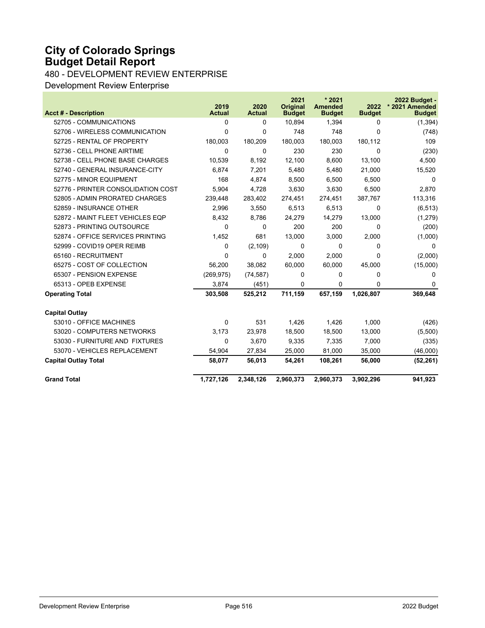## **City of Colorado Springs Budget Detail Report**

480 - DEVELOPMENT REVIEW ENTERPRISE

Development Review Enterprise

|                                    | 2019          | 2020          | 2021<br><b>Original</b> | $*2021$<br><b>Amended</b> | 2022          | 2022 Budget -<br>* 2021 Amended |
|------------------------------------|---------------|---------------|-------------------------|---------------------------|---------------|---------------------------------|
| <b>Acct # - Description</b>        | <b>Actual</b> | <b>Actual</b> | <b>Budget</b>           | <b>Budget</b>             | <b>Budget</b> | <b>Budget</b>                   |
| 52705 - COMMUNICATIONS             | 0             | $\Omega$      | 10,894                  | 1.394                     | $\Omega$      | (1, 394)                        |
| 52706 - WIRELESS COMMUNICATION     | $\Omega$      | $\Omega$      | 748                     | 748                       | $\Omega$      | (748)                           |
| 52725 - RENTAL OF PROPERTY         | 180,003       | 180,209       | 180,003                 | 180,003                   | 180,112       | 109                             |
| 52736 - CELL PHONE AIRTIME         | 0             | $\Omega$      | 230                     | 230                       | 0             | (230)                           |
| 52738 - CELL PHONE BASE CHARGES    | 10.539        | 8,192         | 12,100                  | 8,600                     | 13.100        | 4,500                           |
| 52740 - GENERAL INSURANCE-CITY     | 6,874         | 7,201         | 5,480                   | 5,480                     | 21,000        | 15,520                          |
| 52775 - MINOR EQUIPMENT            | 168           | 4.874         | 8,500                   | 6.500                     | 6.500         | 0                               |
| 52776 - PRINTER CONSOLIDATION COST | 5,904         | 4,728         | 3,630                   | 3,630                     | 6,500         | 2,870                           |
| 52805 - ADMIN PRORATED CHARGES     | 239,448       | 283,402       | 274,451                 | 274,451                   | 387,767       | 113,316                         |
| 52859 - INSURANCE OTHER            | 2,996         | 3,550         | 6,513                   | 6,513                     | 0             | (6, 513)                        |
| 52872 - MAINT FLEET VEHICLES EQP   | 8,432         | 8,786         | 24,279                  | 14,279                    | 13,000        | (1,279)                         |
| 52873 - PRINTING OUTSOURCE         | $\Omega$      | $\Omega$      | 200                     | 200                       | $\Omega$      | (200)                           |
| 52874 - OFFICE SERVICES PRINTING   | 1,452         | 681           | 13,000                  | 3,000                     | 2,000         | (1,000)                         |
| 52999 - COVID19 OPER REIMB         | 0             | (2, 109)      | 0                       | 0                         | $\Omega$      | $\Omega$                        |
| 65160 - RECRUITMENT                | $\Omega$      | $\Omega$      | 2,000                   | 2,000                     | $\Omega$      | (2,000)                         |
| 65275 - COST OF COLLECTION         | 56,200        | 38.082        | 60,000                  | 60,000                    | 45,000        | (15,000)                        |
| 65307 - PENSION EXPENSE            | (269, 975)    | (74, 587)     | 0                       | 0                         | $\Omega$      | 0                               |
| 65313 - OPEB EXPENSE               | 3,874         | (451)         | $\Omega$                | 0                         | 0             | 0                               |
| <b>Operating Total</b>             | 303,508       | 525,212       | 711,159                 | 657,159                   | 1.026.807     | 369,648                         |
| <b>Capital Outlay</b>              |               |               |                         |                           |               |                                 |
| 53010 - OFFICE MACHINES            | $\Omega$      | 531           | 1,426                   | 1,426                     | 1,000         | (426)                           |
| 53020 - COMPUTERS NETWORKS         | 3,173         | 23,978        | 18,500                  | 18,500                    | 13,000        | (5,500)                         |
| 53030 - FURNITURE AND FIXTURES     | $\Omega$      | 3,670         | 9,335                   | 7,335                     | 7,000         | (335)                           |
| 53070 - VEHICLES REPLACEMENT       | 54,904        | 27,834        | 25,000                  | 81,000                    | 35,000        | (46,000)                        |
| <b>Capital Outlay Total</b>        | 58,077        | 56,013        | 54,261                  | 108,261                   | 56,000        | (52, 261)                       |
| <b>Grand Total</b>                 | 1,727,126     | 2,348,126     | 2,960,373               | 2,960,373                 | 3,902,296     | 941,923                         |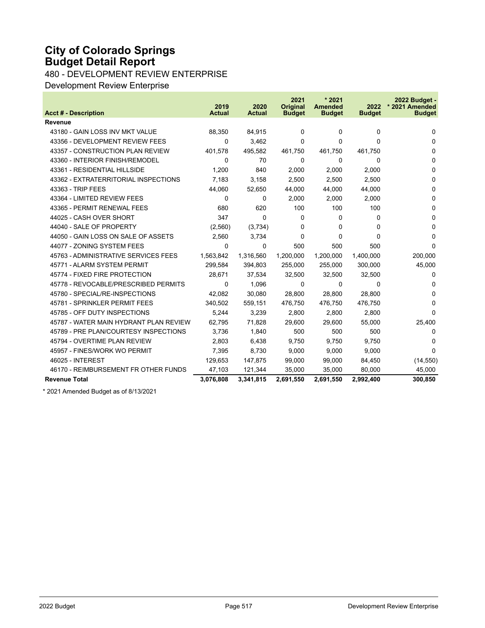# **City of Colorado Springs Budget Detail Report**

480 - DEVELOPMENT REVIEW ENTERPRISE

Development Review Enterprise

|                                        | 2019          | 2020          | 2021<br><b>Original</b> | $*2021$<br><b>Amended</b> | 2022          | 2022 Budget -<br>* 2021 Amended |
|----------------------------------------|---------------|---------------|-------------------------|---------------------------|---------------|---------------------------------|
| <b>Acct # - Description</b>            | <b>Actual</b> | <b>Actual</b> | <b>Budget</b>           | <b>Budget</b>             | <b>Budget</b> | <b>Budget</b>                   |
| <b>Revenue</b>                         |               |               |                         |                           |               |                                 |
| 43180 - GAIN LOSS INV MKT VALUE        | 88,350        | 84,915        | $\Omega$                | $\Omega$                  | $\Omega$      | $\Omega$                        |
| 43356 - DEVELOPMENT REVIEW FEES        | 0             | 3,462         | $\Omega$                | 0                         | $\Omega$      | $\Omega$                        |
| 43357 - CONSTRUCTION PLAN REVIEW       | 401,578       | 495,582       | 461,750                 | 461,750                   | 461,750       | $\Omega$                        |
| 43360 - INTERIOR FINISH/REMODEL        | 0             | 70            | 0                       | 0                         | $\Omega$      | $\Omega$                        |
| 43361 - RESIDENTIAL HILLSIDE           | 1,200         | 840           | 2,000                   | 2,000                     | 2,000         | $\Omega$                        |
| 43362 - EXTRATERRITORIAL INSPECTIONS   | 7,183         | 3,158         | 2,500                   | 2,500                     | 2,500         | $\Omega$                        |
| 43363 - TRIP FEES                      | 44,060        | 52,650        | 44,000                  | 44,000                    | 44,000        | $\Omega$                        |
| 43364 - LIMITED REVIEW FEES            | 0             | 0             | 2,000                   | 2,000                     | 2,000         | $\Omega$                        |
| 43365 - PERMIT RENEWAL FEES            | 680           | 620           | 100                     | 100                       | 100           | 0                               |
| 44025 - CASH OVER SHORT                | 347           | $\Omega$      | 0                       | $\Omega$                  | 0             | 0                               |
| 44040 - SALE OF PROPERTY               | (2,560)       | (3,734)       | 0                       | 0                         | 0             | $\Omega$                        |
| 44050 - GAIN LOSS ON SALE OF ASSETS    | 2,560         | 3,734         | $\Omega$                | $\Omega$                  | $\Omega$      | $\Omega$                        |
| 44077 - ZONING SYSTEM FEES             | 0             | $\Omega$      | 500                     | 500                       | 500           | $\Omega$                        |
| 45763 - ADMINISTRATIVE SERVICES FEES   | 1.563.842     | 1.316.560     | 1.200.000               | 1.200.000                 | 1.400.000     | 200,000                         |
| 45771 - ALARM SYSTEM PERMIT            | 299,584       | 394,803       | 255,000                 | 255,000                   | 300,000       | 45,000                          |
| 45774 - FIXED FIRE PROTECTION          | 28,671        | 37,534        | 32,500                  | 32,500                    | 32,500        | 0                               |
| 45778 - REVOCABLE/PRESCRIBED PERMITS   | 0             | 1,096         | 0                       | 0                         | $\Omega$      | 0                               |
| 45780 - SPECIAL/RE-INSPECTIONS         | 42.082        | 30,080        | 28.800                  | 28.800                    | 28,800        | 0                               |
| 45781 - SPRINKLER PERMIT FEES          | 340,502       | 559,151       | 476,750                 | 476,750                   | 476,750       | $\Omega$                        |
| 45785 - OFF DUTY INSPECTIONS           | 5.244         | 3.239         | 2.800                   | 2,800                     | 2,800         | $\Omega$                        |
| 45787 - WATER MAIN HYDRANT PLAN REVIEW | 62,795        | 71,828        | 29,600                  | 29,600                    | 55,000        | 25,400                          |
| 45789 - PRE PLAN/COURTESY INSPECTIONS  | 3,736         | 1,840         | 500                     | 500                       | 500           | 0                               |
| 45794 - OVERTIME PLAN REVIEW           | 2,803         | 6,438         | 9,750                   | 9,750                     | 9,750         | 0                               |
| 45957 - FINES/WORK WO PERMIT           | 7,395         | 8,730         | 9,000                   | 9,000                     | 9,000         | $\Omega$                        |
| 46025 - INTEREST                       | 129,653       | 147,875       | 99,000                  | 99,000                    | 84,450        | (14, 550)                       |
| 46170 - REIMBURSEMENT FR OTHER FUNDS   | 47,103        | 121,344       | 35,000                  | 35,000                    | 80,000        | 45,000                          |
| <b>Revenue Total</b>                   | 3,076,808     | 3,341,815     | 2,691,550               | 2,691,550                 | 2,992,400     | 300,850                         |

\* 2021 Amended Budget as of 8/13/2021